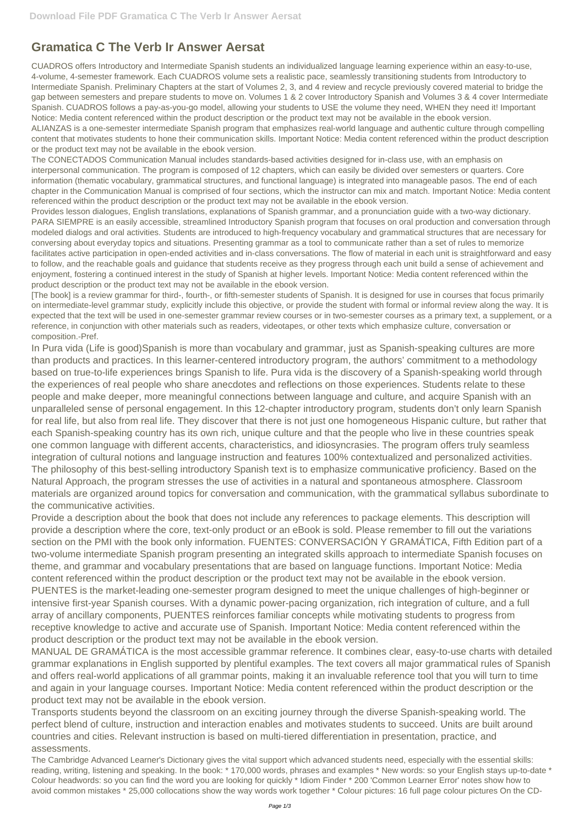## **Gramatica C The Verb Ir Answer Aersat**

CUADROS offers Introductory and Intermediate Spanish students an individualized language learning experience within an easy-to-use, 4-volume, 4-semester framework. Each CUADROS volume sets a realistic pace, seamlessly transitioning students from Introductory to Intermediate Spanish. Preliminary Chapters at the start of Volumes 2, 3, and 4 review and recycle previously covered material to bridge the gap between semesters and prepare students to move on. Volumes 1 & 2 cover Introductory Spanish and Volumes 3 & 4 cover Intermediate Spanish. CUADROS follows a pay-as-you-go model, allowing your students to USE the volume they need, WHEN they need it! Important Notice: Media content referenced within the product description or the product text may not be available in the ebook version. ALIANZAS is a one-semester intermediate Spanish program that emphasizes real-world language and authentic culture through compelling content that motivates students to hone their communication skills. Important Notice: Media content referenced within the product description or the product text may not be available in the ebook version.

The CONECTADOS Communication Manual includes standards-based activities designed for in-class use, with an emphasis on interpersonal communication. The program is composed of 12 chapters, which can easily be divided over semesters or quarters. Core information (thematic vocabulary, grammatical structures, and functional language) is integrated into manageable pasos. The end of each chapter in the Communication Manual is comprised of four sections, which the instructor can mix and match. Important Notice: Media content referenced within the product description or the product text may not be available in the ebook version.

Provides lesson dialogues, English translations, explanations of Spanish grammar, and a pronunciation guide with a two-way dictionary. PARA SIEMPRE is an easily accessible, streamlined Introductory Spanish program that focuses on oral production and conversation through modeled dialogs and oral activities. Students are introduced to high-frequency vocabulary and grammatical structures that are necessary for conversing about everyday topics and situations. Presenting grammar as a tool to communicate rather than a set of rules to memorize facilitates active participation in open-ended activities and in-class conversations. The flow of material in each unit is straightforward and easy to follow, and the reachable goals and guidance that students receive as they progress through each unit build a sense of achievement and enjoyment, fostering a continued interest in the study of Spanish at higher levels. Important Notice: Media content referenced within the product description or the product text may not be available in the ebook version.

[The book] is a review grammar for third-, fourth-, or fifth-semester students of Spanish. It is designed for use in courses that focus primarily on intermediate-level grammar study, explicitly include this objective, or provide the student with formal or informal review along the way. It is expected that the text will be used in one-semester grammar review courses or in two-semester courses as a primary text, a supplement, or a reference, in conjunction with other materials such as readers, videotapes, or other texts which emphasize culture, conversation or composition.-Pref.

In Pura vida (Life is good)Spanish is more than vocabulary and grammar, just as Spanish-speaking cultures are more than products and practices. In this learner-centered introductory program, the authors' commitment to a methodology based on true-to-life experiences brings Spanish to life. Pura vida is the discovery of a Spanish-speaking world through the experiences of real people who share anecdotes and reflections on those experiences. Students relate to these people and make deeper, more meaningful connections between language and culture, and acquire Spanish with an unparalleled sense of personal engagement. In this 12-chapter introductory program, students don't only learn Spanish for real life, but also from real life. They discover that there is not just one homogeneous Hispanic culture, but rather that each Spanish-speaking country has its own rich, unique culture and that the people who live in these countries speak one common language with different accents, characteristics, and idiosyncrasies. The program offers truly seamless integration of cultural notions and language instruction and features 100% contextualized and personalized activities. The philosophy of this best-selling introductory Spanish text is to emphasize communicative proficiency. Based on the Natural Approach, the program stresses the use of activities in a natural and spontaneous atmosphere. Classroom materials are organized around topics for conversation and communication, with the grammatical syllabus subordinate to the communicative activities.

Provide a description about the book that does not include any references to package elements. This description will provide a description where the core, text-only product or an eBook is sold. Please remember to fill out the variations section on the PMI with the book only information. FUENTES: CONVERSACIÓN Y GRAMÁTICA, Fifth Edition part of a two-volume intermediate Spanish program presenting an integrated skills approach to intermediate Spanish focuses on theme, and grammar and vocabulary presentations that are based on language functions. Important Notice: Media content referenced within the product description or the product text may not be available in the ebook version. PUENTES is the market-leading one-semester program designed to meet the unique challenges of high-beginner or intensive first-year Spanish courses. With a dynamic power-pacing organization, rich integration of culture, and a full array of ancillary components, PUENTES reinforces familiar concepts while motivating students to progress from receptive knowledge to active and accurate use of Spanish. Important Notice: Media content referenced within the product description or the product text may not be available in the ebook version. MANUAL DE GRAMÁTICA is the most accessible grammar reference. It combines clear, easy-to-use charts with detailed grammar explanations in English supported by plentiful examples. The text covers all major grammatical rules of Spanish and offers real-world applications of all grammar points, making it an invaluable reference tool that you will turn to time and again in your language courses. Important Notice: Media content referenced within the product description or the product text may not be available in the ebook version. Transports students beyond the classroom on an exciting journey through the diverse Spanish-speaking world. The perfect blend of culture, instruction and interaction enables and motivates students to succeed. Units are built around countries and cities. Relevant instruction is based on multi-tiered differentiation in presentation, practice, and assessments.

The Cambridge Advanced Learner's Dictionary gives the vital support which advanced students need, especially with the essential skills: reading, writing, listening and speaking. In the book: \* 170,000 words, phrases and examples \* New words: so your English stays up-to-date \* Colour headwords: so you can find the word you are looking for quickly \* Idiom Finder \* 200 'Common Learner Error' notes show how to avoid common mistakes \* 25,000 collocations show the way words work together \* Colour pictures: 16 full page colour pictures On the CD-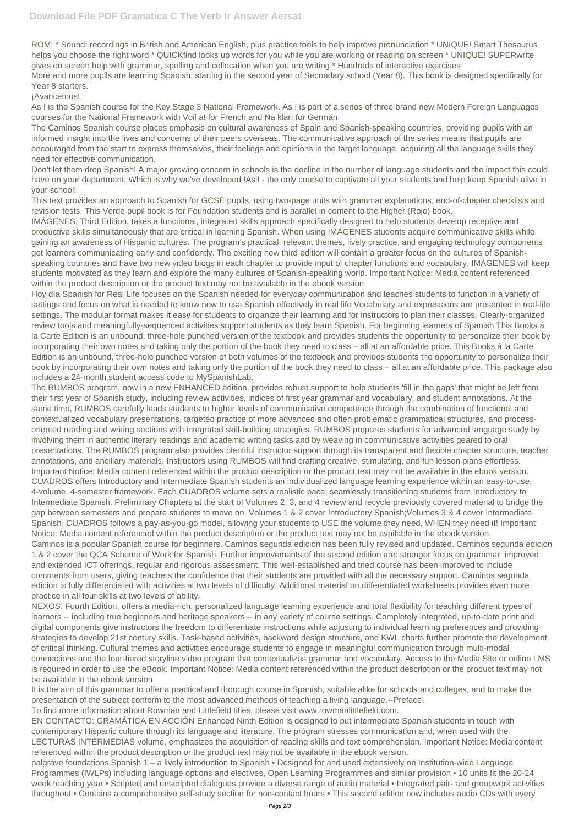Year 8 starters. ¡Avancemos!.

ROM: \* Sound: recordings in British and American English, plus practice tools to help improve pronunciation \* UNIQUE! Smart Thesaurus helps you choose the right word \* QUICKfind looks up words for you while you are working or reading on screen \* UNIQUE! SUPERwrite gives on screen help with grammar, spelling and collocation when you are writing \* Hundreds of interactive exercises More and more pupils are learning Spanish, starting in the second year of Secondary school (Year 8). This book is designed specifically for

As ! is the Spanish course for the Key Stage 3 National Framework. As ! is part of a series of three brand new Modern Foreign Languages courses for the National Framework with Voil a! for French and Na klar! for German.

The Caminos Spanish course places emphasis on cultural awareness of Spain and Spanish-speaking countries, providing pupils with an informed insight into the lives and concerns of their peers overseas. The communicative approach of the series means that pupils are encouraged from the start to express themselves, their feelings and opinions in the target language, acquiring all the language skills they need for effective communication.

Don't let them drop Spanish! A major growing concern in schools is the decline in the number of language students and the impact this could have on your department. Which is why we've developed !Asi! - the only course to captivate all your students and help keep Spanish alive in your school!

This text provides an approach to Spanish for GCSE pupils, using two-page units with grammar explanations, end-of-chapter checklists and revision tests. This Verde pupil book is for Foundation students and is parallel in content to the Higher (Rojo) book.

IMÁGENES, Third Edition, takes a functional, integrated skills approach specifically designed to help students develop receptive and productive skills simultaneously that are critical in learning Spanish. When using IMÁGENES students acquire communicative skills while gaining an awareness of Hispanic cultures. The program's practical, relevant themes, lively practice, and engaging technology components get learners communicating early and confidently. The exciting new third edition will contain a greater focus on the cultures of Spanishspeaking countries and have two new video blogs in each chapter to provide input of chapter functions and vocabulary. IMÁGENES will keep students motivated as they learn and explore the many cultures of Spanish-speaking world. Important Notice: Media content referenced within the product description or the product text may not be available in the ebook version.

Hoy día Spanish for Real Life focuses on the Spanish needed for everyday communication and teaches students to function in a variety of settings and focus on what is needed to know now to use Spanish effectively in real life Vocabulary and expressions are presented in real-life settings. The modular format makes it easy for students to organize their learning and for instructors to plan their classes. Clearly-organized review tools and meaningfully-sequenced activities support students as they learn Spanish. For beginning learners of Spanish This Books á la Carte Edition is an unbound, three-hole punched version of the textbook and provides students the opportunity to personalize their book by incorporating their own notes and taking only the portion of the book they need to class – all at an affordable price. This Books á la Carte Edition is an unbound, three-hole punched version of both volumes of the textbook and provides students the opportunity to personalize their book by incorporating their own notes and taking only the portion of the book they need to class – all at an affordable price. This package also includes a 24-month student access code to MySpanishLab.

The RUMBOS program, now in a new ENHANCED edition, provides robust support to help students 'fill in the gaps' that might be left from their first year of Spanish study, including review activities, indices of first year grammar and vocabulary, and student annotations. At the same time, RUMBOS carefully leads students to higher levels of communicative competence through the combination of functional and contextualized vocabulary presentations, targeted practice of more advanced and often problematic grammatical structures, and processoriented reading and writing sections with integrated skill-building strategies. RUMBOS prepares students for advanced language study by involving them in authentic literary readings and academic writing tasks and by weaving in communicative activities geared to oral presentations. The RUMBOS program also provides plentiful instructor support through its transparent and flexible chapter structure, teacher annotations, and ancillary materials. Instructors using RUMBOS will find crafting creative, stimulating, and fun lesson plans effortless. Important Notice: Media content referenced within the product description or the product text may not be available in the ebook version. CUADROS offers Introductory and Intermediate Spanish students an individualized language learning experience within an easy-to-use, 4-volume, 4-semester framework. Each CUADROS volume sets a realistic pace, seamlessly transitioning students from Introductory to Intermediate Spanish. Preliminary Chapters at the start of Volumes 2, 3, and 4 review and recycle previously covered material to bridge the gap between semesters and prepare students to move on. Volumes 1 & 2 cover Introductory Spanish;Volumes 3 & 4 cover Intermediate Spanish. CUADROS follows a pay-as-you-go model, allowing your students to USE the volume they need, WHEN they need it! Important Notice: Media content referenced within the product description or the product text may not be available in the ebook version. Caminos is a popular Spanish course for beginners. Caminos segunda edicion has been fully revised and updated. Caminos segunda edicion 1 & 2 cover the QCA Scheme of Work for Spanish. Further improvements of the second edition are: stronger focus on grammar, improved and extended ICT offerings, regular and rigorous assessment. This well-established and tried course has been improved to include comments from users, giving teachers the confidence that their students are provided with all the necessary support. Caminos segunda edicion is fully differentiated with activities at two levels of difficulty. Additional material on differentiated worksheets provides even more

practice in all four skills at two levels of ability.

NEXOS, Fourth Edition, offers a media-rich, personalized language learning experience and total flexibility for teaching different types of learners -- including true beginners and heritage speakers -- in any variety of course settings. Completely integrated, up-to-date print and digital components give instructors the freedom to differentiate instructions while adjusting to individual learning preferences and providing strategies to develop 21st century skills. Task-based activities, backward design structure, and KWL charts further promote the development of critical thinking. Cultural themes and activities encourage students to engage in meaningful communication through multi-modal connections and the four-tiered storyline video program that contextualizes grammar and vocabulary. Access to the Media Site or online LMS is required in order to use the eBook. Important Notice: Media content referenced within the product description or the product text may not be available in the ebook version.

It is the aim of this grammar to offer a practical and thorough course in Spanish, suitable alike for schools and colleges, and to make the presentation of the subject conform to the most advanced methods of teaching a living language.--Preface.

To find more information about Rowman and Littlefield titles, please visit www.rowmanlittlefield.com.

EN CONTACTO: GRAMÁTICA EN ACCIÓN Enhanced Ninth Edition is designed to put intermediate Spanish students in touch with contemporary Hispanic culture through its language and literature. The program stresses communication and, when used with the LECTURAS INTERMEDIAS volume, emphasizes the acquisition of reading skills and text comprehension. Important Notice: Media content referenced within the product description or the product text may not be available in the ebook version.

palgrave foundations Spanish 1 – a lively introduction to Spanish • Designed for and used extensively on Institution-wide Language Programmes (IWLPs) including language options and electives, Open Learning Programmes and similar provision • 10 units fit the 20-24 week teaching year • Scripted and unscripted dialogues provide a diverse range of audio material • Integrated pair- and groupwork activities throughout • Contains a comprehensive self-study section for non-contact hours • This second edition now includes audio CDs with every